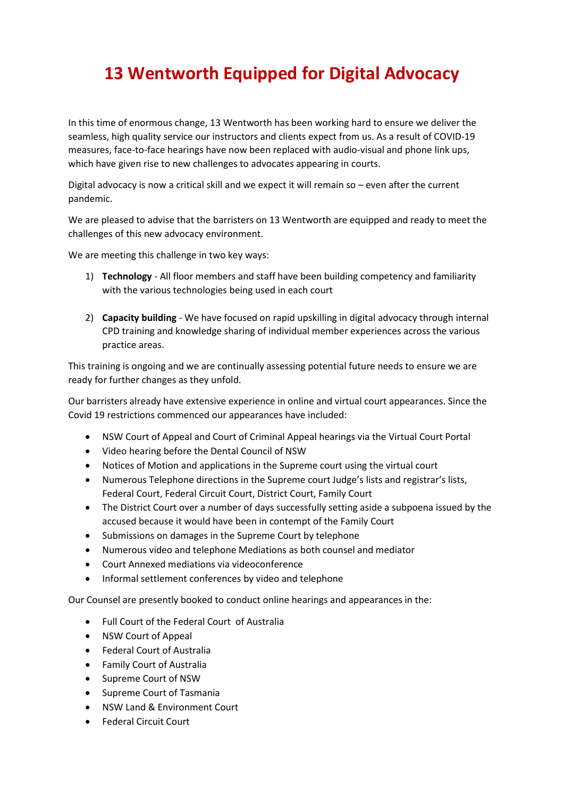## **13 Wentworth Equipped for Digital Advocacy**

In this time of enormous change, 13 Wentworth has been working hard to ensure we deliver the seamless, high quality service our instructors and clients expect from us. As a result of COVID-19 measures, face-to-face hearings have now been replaced with audio-visual and phone link ups, which have given rise to new challenges to advocates appearing in courts.

Digital advocacy is now a critical skill and we expect it will remain so – even after the current pandemic.

We are pleased to advise that the barristers on 13 Wentworth are equipped and ready to meet the challenges of this new advocacy environment.

We are meeting this challenge in two key ways:

- 1) **Technology** All floor members and staff have been building competency and familiarity with the various technologies being used in each court
- 2) **Capacity building** We have focused on rapid upskilling in digital advocacy through internal CPD training and knowledge sharing of individual member experiences across the various practice areas.

This training is ongoing and we are continually assessing potential future needs to ensure we are ready for further changes as they unfold.

Our barristers already have extensive experience in online and virtual court appearances. Since the Covid 19 restrictions commenced our appearances have included:

- NSW Court of Appeal and Court of Criminal Appeal hearings via the Virtual Court Portal
- Video hearing before the Dental Council of NSW
- Notices of Motion and applications in the Supreme court using the virtual court
- Numerous Telephone directions in the Supreme court Judge's lists and registrar's lists, Federal Court, Federal Circuit Court, District Court, Family Court
- The District Court over a number of days successfully setting aside a subpoena issued by the accused because it would have been in contempt of the Family Court
- Submissions on damages in the Supreme Court by telephone
- Numerous video and telephone Mediations as both counsel and mediator
- Court Annexed mediations via videoconference
- Informal settlement conferences by video and telephone

Our Counsel are presently booked to conduct online hearings and appearances in the:

- Full Court of the Federal Court of Australia
- NSW Court of Appeal
- Federal Court of Australia
- Family Court of Australia
- Supreme Court of NSW
- Supreme Court of Tasmania
- NSW Land & Environment Court
- Federal Circuit Court